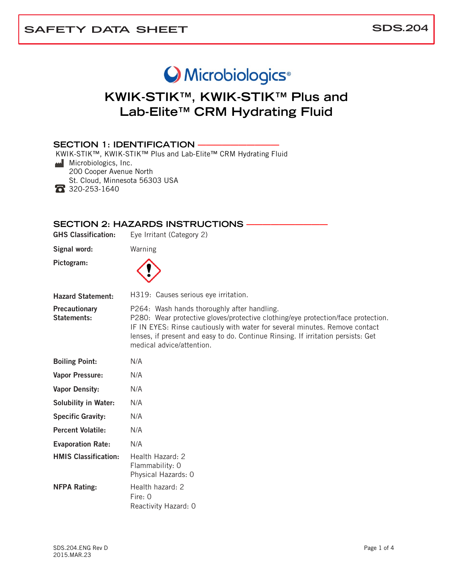# O Microbiologics<sup>®</sup>

# **KWIK-STIK™, KWIK-STIK™ Plus and Lab-Elite™ CRM Hydrating Fluid**

#### **SECTION 1: IDENTIFICATION**

KWIK-STIK™, KWIK-STIK™ Plus and Lab-Elite™ CRM Hydrating Fluid

**Microbiologics, Inc.** 

200 Cooper Avenue North

St. Cloud, Minnesota 56303 USA

320-253-1640

#### **SECTION 2: HAZARDS INSTRUCTIONS —**

| <b>GHS Classification:</b>                 | Eye Irritant (Category 2)                                                                                                                                                                                                                                                                                                       |  |
|--------------------------------------------|---------------------------------------------------------------------------------------------------------------------------------------------------------------------------------------------------------------------------------------------------------------------------------------------------------------------------------|--|
| Signal word:                               | Warning                                                                                                                                                                                                                                                                                                                         |  |
| Pictogram:                                 |                                                                                                                                                                                                                                                                                                                                 |  |
| <b>Hazard Statement:</b>                   | H319: Causes serious eye irritation.                                                                                                                                                                                                                                                                                            |  |
| <b>Precautionary</b><br><b>Statements:</b> | P264: Wash hands thoroughly after handling.<br>P280: Wear protective gloves/protective clothing/eye protection/face protection.<br>IF IN EYES: Rinse cautiously with water for several minutes. Remove contact<br>lenses, if present and easy to do. Continue Rinsing. If irritation persists: Get<br>medical advice/attention. |  |
| <b>Boiling Point:</b>                      | N/A                                                                                                                                                                                                                                                                                                                             |  |
| <b>Vapor Pressure:</b>                     | N/A                                                                                                                                                                                                                                                                                                                             |  |
| <b>Vapor Density:</b>                      | N/A                                                                                                                                                                                                                                                                                                                             |  |
| <b>Solubility in Water:</b>                | N/A                                                                                                                                                                                                                                                                                                                             |  |
| <b>Specific Gravity:</b>                   | N/A                                                                                                                                                                                                                                                                                                                             |  |
| <b>Percent Volatile:</b>                   | N/A                                                                                                                                                                                                                                                                                                                             |  |
| <b>Evaporation Rate:</b>                   | N/A                                                                                                                                                                                                                                                                                                                             |  |
| <b>HMIS Classification:</b>                | Health Hazard: 2<br>Flammability: 0<br>Physical Hazards: 0                                                                                                                                                                                                                                                                      |  |
| <b>NFPA Rating:</b>                        | Health hazard: 2<br>Fire: 0<br>Reactivity Hazard: 0                                                                                                                                                                                                                                                                             |  |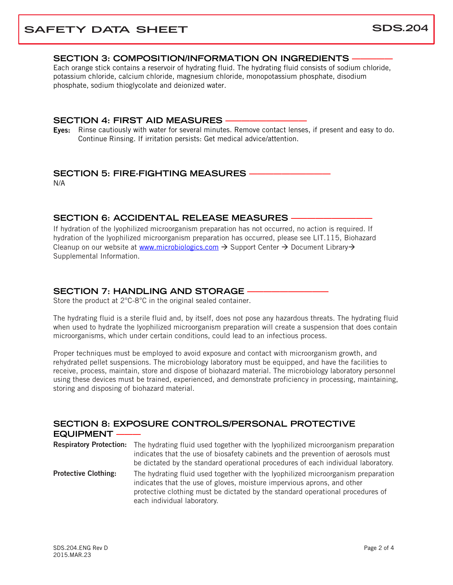### **SAFETY DATA SHEET** SDS.204

#### **SECTION 3: COMPOSITION/INFORMATION ON INGREDIENTS —————**

Each orange stick contains a reservoir of hydrating fluid. The hydrating fluid consists of sodium chloride, potassium chloride, calcium chloride, magnesium chloride, monopotassium phosphate, disodium phosphate, sodium thioglycolate and deionized water.

#### **SECTION 4: FIRST AID MEASURES**

Eyes: Rinse cautiously with water for several minutes. Remove contact lenses, if present and easy to do. Continue Rinsing. If irritation persists: Get medical advice/attention.

#### **SECTION 5: FIRE-FIGHTING MEASURES**

N/A

#### **SECTION 6: ACCIDENTAL RELEASE MEASURES**

If hydration of the lyophilized microorganism preparation has not occurred, no action is required. If hydration of the lyophilized microorganism preparation has occurred, please see LIT.115, Biohazard Cleanup on our website at [www.microbiologics.com](http://www.microbiologics.com/)  $\rightarrow$  Support Center  $\rightarrow$  Document Library  $\rightarrow$ Supplemental Information.

#### **SECTION 7: HANDLING AND STORAGE -**

Store the product at 2°C-8°C in the original sealed container.

The hydrating fluid is a sterile fluid and, by itself, does not pose any hazardous threats. The hydrating fluid when used to hydrate the lyophilized microorganism preparation will create a suspension that does contain microorganisms, which under certain conditions, could lead to an infectious process.

Proper techniques must be employed to avoid exposure and contact with microorganism growth, and rehydrated pellet suspensions. The microbiology laboratory must be equipped, and have the facilities to receive, process, maintain, store and dispose of biohazard material. The microbiology laboratory personnel using these devices must be trained, experienced, and demonstrate proficiency in processing, maintaining, storing and disposing of biohazard material.

#### **SECTION 8: EXPOSURE CONTROLS/PERSONAL PROTECTIVE EQUIPMENT** Respiratory Protection: The hydrating fluid used together with the lyophilized microorganism preparation indicates that the use of biosafety cabinets and the prevention of aerosols must

be dictated by the standard operational procedures of each individual laboratory. **Protective Clothing:** The hydrating fluid used together with the lyophilized microorganism preparation indicates that the use of gloves, moisture impervious aprons, and other protective clothing must be dictated by the standard operational procedures of each individual laboratory.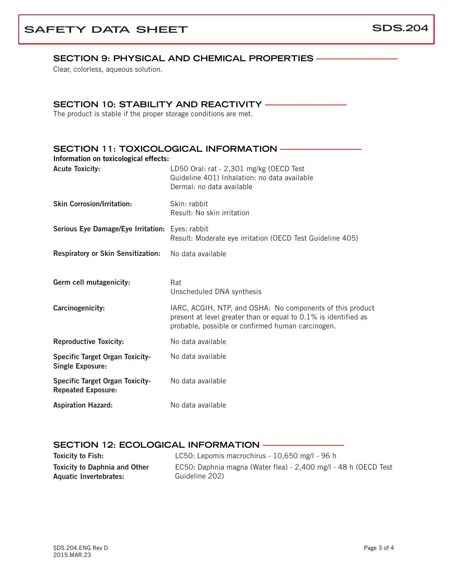## **SAFETY DATA SHEET** SDS.204

#### SECTION 9: PHYSICAL AND CHEMICAL PROPERTIES -

Clear, colorless, aqueous solution.

#### **SECTION 10: STABILITY AND REACTIVITY -**

The product is stable if the proper storage conditions are met.

| Information on toxicological effects:                               | <b>SECTION 11: TOXICOLOGICAL INFORMATION -</b>                                                                                                                                    |
|---------------------------------------------------------------------|-----------------------------------------------------------------------------------------------------------------------------------------------------------------------------------|
| <b>Acute Toxicity:</b>                                              | LD50 Oral: rat - 2,301 mg/kg (OECD Test<br>Guideline 401) Inhalation: no data available<br>Dermal: no data available                                                              |
| <b>Skin Corrosion/Irritation:</b>                                   | Skin: rabbit<br>Result: No skin irritation                                                                                                                                        |
| Serious Eye Damage/Eye Irritation: Eyes: rabbit                     | Result: Moderate eye irritation (OECD Test Guideline 405)                                                                                                                         |
| Respiratory or Skin Sensitization:                                  | No data available                                                                                                                                                                 |
| Germ cell mutagenicity:                                             | Rat<br>Unscheduled DNA synthesis                                                                                                                                                  |
| Carcinogenicity:                                                    | IARC, ACGIH, NTP, and OSHA: No components of this product<br>present at level greater than or equal to 0.1% is identified as<br>probable, possible or confirmed human carcinogen. |
| <b>Reproductive Toxicity:</b>                                       | No data available                                                                                                                                                                 |
| <b>Specific Target Organ Toxicity-</b><br><b>Single Exposure:</b>   | No data available                                                                                                                                                                 |
| <b>Specific Target Organ Toxicity-</b><br><b>Repeated Exposure:</b> | No data available                                                                                                                                                                 |
| <b>Aspiration Hazard:</b>                                           | No data available                                                                                                                                                                 |

#### **SECTION 12: ECOLOGICAL INFORMATION –**

| <b>Toxicity to Fish:</b>             | LC50: Lepomis macrochirus - 10,650 mg/l - 96 h                  |
|--------------------------------------|-----------------------------------------------------------------|
| <b>Toxicity to Daphnia and Other</b> | EC50: Daphnia magna (Water flea) - 2,400 mg/l - 48 h (OECD Test |
| Aquatic Invertebrates:               | Guideline 202)                                                  |